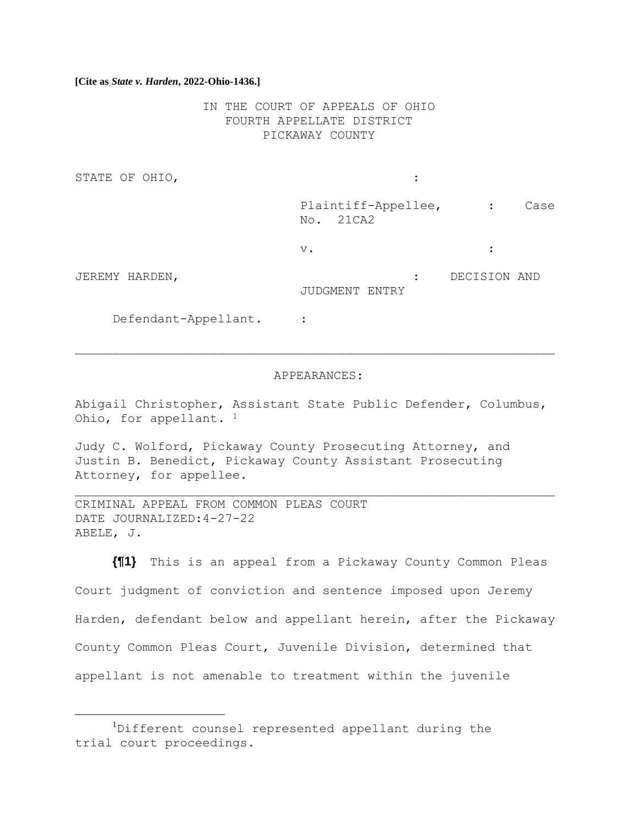IN THE COURT OF APPEALS OF OHIO FOURTH APPELLATE DISTRICT PICKAWAY COUNTY

STATE OF OHIO,  $\qquad \qquad :\qquad \qquad$ 

Plaintiff-Appellee, : Case No. 21CA2

 $\vee$ .  $\qquad \qquad$  :

JEREMY HARDEN, : DECISION AND JUDGMENT ENTRY

Defendant-Appellant. :

#### APPEARANCES:

Abigail Christopher, Assistant State Public Defender, Columbus, Ohio, for appellant. <sup>1</sup>

Judy C. Wolford, Pickaway County Prosecuting Attorney, and Justin B. Benedict, Pickaway County Assistant Prosecuting Attorney, for appellee.

CRIMINAL APPEAL FROM COMMON PLEAS COURT DATE JOURNALIZED:4-27-22 ABELE, J.

**{¶1}** This is an appeal from a Pickaway County Common Pleas Court judgment of conviction and sentence imposed upon Jeremy Harden, defendant below and appellant herein, after the Pickaway County Common Pleas Court, Juvenile Division, determined that appellant is not amenable to treatment within the juvenile

<sup>&</sup>lt;sup>1</sup>Different counsel represented appellant during the trial court proceedings.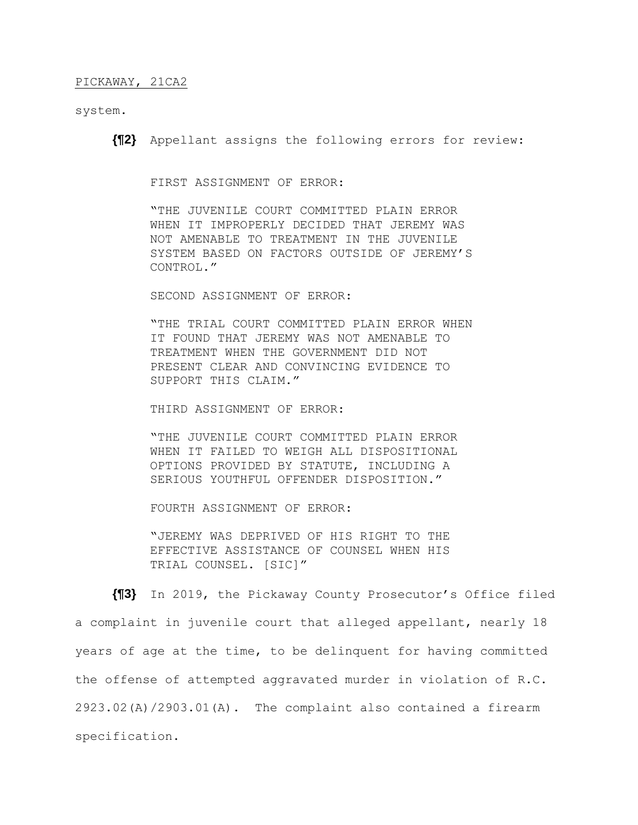system.

**{¶2}** Appellant assigns the following errors for review:

FIRST ASSIGNMENT OF ERROR:

"THE JUVENILE COURT COMMITTED PLAIN ERROR WHEN IT IMPROPERLY DECIDED THAT JEREMY WAS NOT AMENABLE TO TREATMENT IN THE JUVENILE SYSTEM BASED ON FACTORS OUTSIDE OF JEREMY'S CONTROL."

SECOND ASSIGNMENT OF ERROR:

"THE TRIAL COURT COMMITTED PLAIN ERROR WHEN IT FOUND THAT JEREMY WAS NOT AMENABLE TO TREATMENT WHEN THE GOVERNMENT DID NOT PRESENT CLEAR AND CONVINCING EVIDENCE TO SUPPORT THIS CLAIM."

THIRD ASSIGNMENT OF ERROR:

"THE JUVENILE COURT COMMITTED PLAIN ERROR WHEN IT FAILED TO WEIGH ALL DISPOSITIONAL OPTIONS PROVIDED BY STATUTE, INCLUDING A SERIOUS YOUTHFUL OFFENDER DISPOSITION."

FOURTH ASSIGNMENT OF ERROR:

"JEREMY WAS DEPRIVED OF HIS RIGHT TO THE EFFECTIVE ASSISTANCE OF COUNSEL WHEN HIS TRIAL COUNSEL. [SIC]"

**{¶3}** In 2019, the Pickaway County Prosecutor's Office filed a complaint in juvenile court that alleged appellant, nearly 18 years of age at the time, to be delinquent for having committed the offense of attempted aggravated murder in violation of R.C. 2923.02(A)/2903.01(A). The complaint also contained a firearm specification.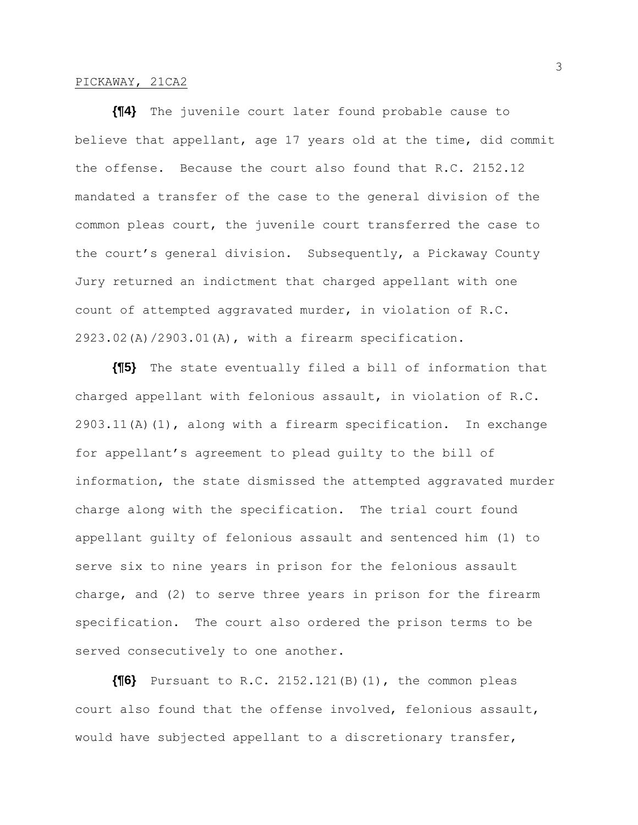**{¶4}** The juvenile court later found probable cause to believe that appellant, age 17 years old at the time, did commit the offense. Because the court also found that R.C. 2152.12 mandated a transfer of the case to the general division of the common pleas court, the juvenile court transferred the case to the court's general division. Subsequently, a Pickaway County Jury returned an indictment that charged appellant with one count of attempted aggravated murder, in violation of R.C. 2923.02(A)/2903.01(A), with a firearm specification.

**{¶5}** The state eventually filed a bill of information that charged appellant with felonious assault, in violation of R.C. 2903.11(A)(1), along with a firearm specification. In exchange for appellant's agreement to plead guilty to the bill of information, the state dismissed the attempted aggravated murder charge along with the specification. The trial court found appellant guilty of felonious assault and sentenced him (1) to serve six to nine years in prison for the felonious assault charge, and (2) to serve three years in prison for the firearm specification. The court also ordered the prison terms to be served consecutively to one another.

**{¶6}** Pursuant to R.C. 2152.121(B)(1), the common pleas court also found that the offense involved, felonious assault, would have subjected appellant to a discretionary transfer,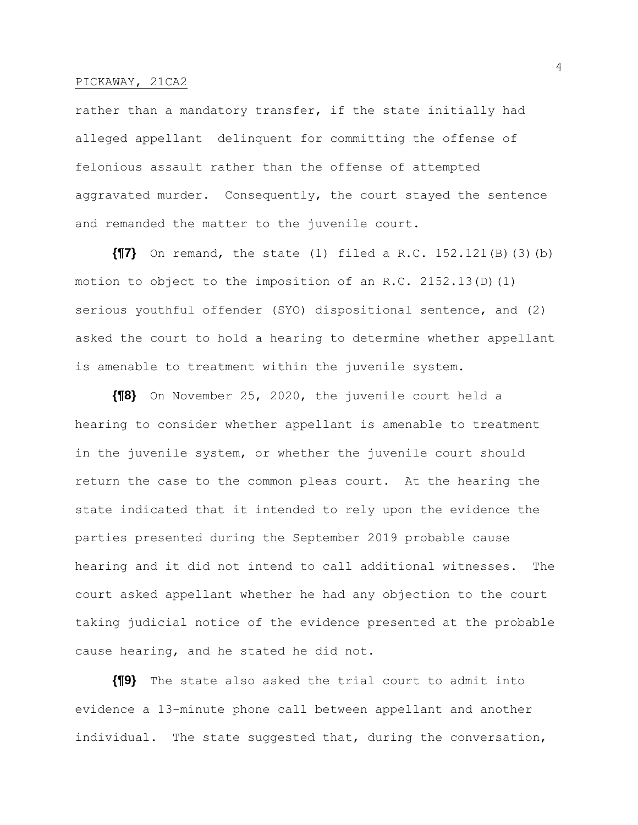rather than a mandatory transfer, if the state initially had alleged appellant delinquent for committing the offense of felonious assault rather than the offense of attempted aggravated murder. Consequently, the court stayed the sentence and remanded the matter to the juvenile court.

**{¶7}** On remand, the state (1) filed a R.C. 152.121(B)(3)(b) motion to object to the imposition of an R.C. 2152.13(D)(1) serious youthful offender (SYO) dispositional sentence, and (2) asked the court to hold a hearing to determine whether appellant is amenable to treatment within the juvenile system.

**{¶8}** On November 25, 2020, the juvenile court held a hearing to consider whether appellant is amenable to treatment in the juvenile system, or whether the juvenile court should return the case to the common pleas court. At the hearing the state indicated that it intended to rely upon the evidence the parties presented during the September 2019 probable cause hearing and it did not intend to call additional witnesses. The court asked appellant whether he had any objection to the court taking judicial notice of the evidence presented at the probable cause hearing, and he stated he did not.

**{¶9}** The state also asked the trial court to admit into evidence a 13-minute phone call between appellant and another individual. The state suggested that, during the conversation,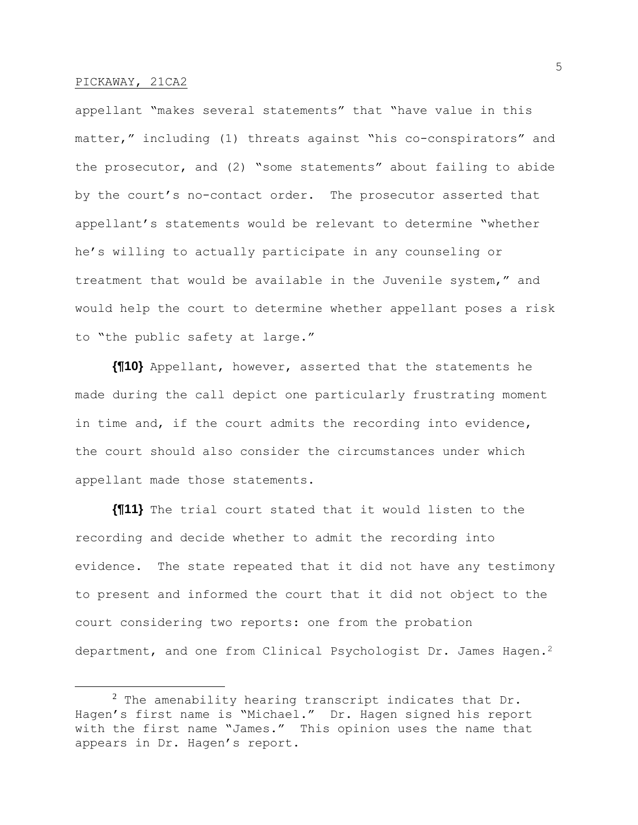appellant "makes several statements" that "have value in this matter," including (1) threats against "his co-conspirators" and the prosecutor, and (2) "some statements" about failing to abide by the court's no-contact order. The prosecutor asserted that appellant's statements would be relevant to determine "whether he's willing to actually participate in any counseling or treatment that would be available in the Juvenile system," and would help the court to determine whether appellant poses a risk to "the public safety at large."

**{¶10}** Appellant, however, asserted that the statements he made during the call depict one particularly frustrating moment in time and, if the court admits the recording into evidence, the court should also consider the circumstances under which appellant made those statements.

**{¶11}** The trial court stated that it would listen to the recording and decide whether to admit the recording into evidence. The state repeated that it did not have any testimony to present and informed the court that it did not object to the court considering two reports: one from the probation department, and one from Clinical Psychologist Dr. James Hagen.<sup>2</sup>

 $2$  The amenability hearing transcript indicates that Dr. Hagen's first name is "Michael." Dr. Hagen signed his report with the first name "James." This opinion uses the name that appears in Dr. Hagen's report.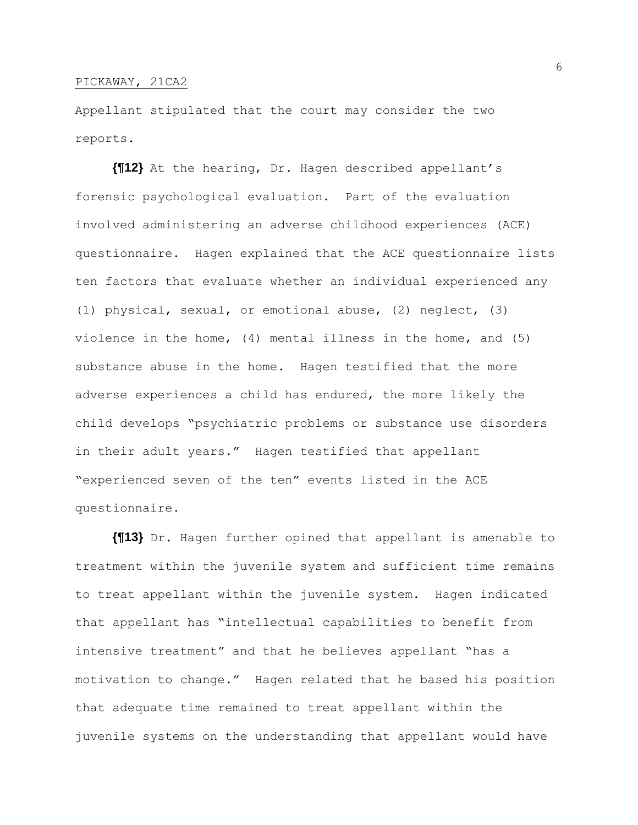Appellant stipulated that the court may consider the two reports.

**{¶12}** At the hearing, Dr. Hagen described appellant's forensic psychological evaluation. Part of the evaluation involved administering an adverse childhood experiences (ACE) questionnaire. Hagen explained that the ACE questionnaire lists ten factors that evaluate whether an individual experienced any (1) physical, sexual, or emotional abuse, (2) neglect, (3) violence in the home, (4) mental illness in the home, and (5) substance abuse in the home. Hagen testified that the more adverse experiences a child has endured, the more likely the child develops "psychiatric problems or substance use disorders in their adult years." Hagen testified that appellant "experienced seven of the ten" events listed in the ACE questionnaire.

**{¶13}** Dr. Hagen further opined that appellant is amenable to treatment within the juvenile system and sufficient time remains to treat appellant within the juvenile system. Hagen indicated that appellant has "intellectual capabilities to benefit from intensive treatment" and that he believes appellant "has a motivation to change." Hagen related that he based his position that adequate time remained to treat appellant within the juvenile systems on the understanding that appellant would have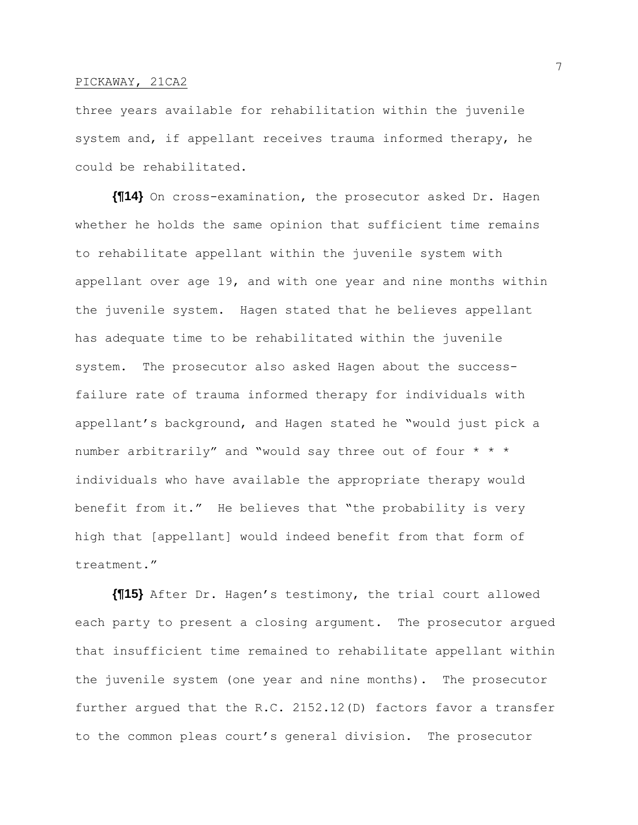three years available for rehabilitation within the juvenile system and, if appellant receives trauma informed therapy, he could be rehabilitated.

**{¶14}** On cross-examination, the prosecutor asked Dr. Hagen whether he holds the same opinion that sufficient time remains to rehabilitate appellant within the juvenile system with appellant over age 19, and with one year and nine months within the juvenile system. Hagen stated that he believes appellant has adequate time to be rehabilitated within the juvenile system. The prosecutor also asked Hagen about the successfailure rate of trauma informed therapy for individuals with appellant's background, and Hagen stated he "would just pick a number arbitrarily" and "would say three out of four \* \* \* individuals who have available the appropriate therapy would benefit from it." He believes that "the probability is very high that [appellant] would indeed benefit from that form of treatment."

**{¶15}** After Dr. Hagen's testimony, the trial court allowed each party to present a closing argument. The prosecutor argued that insufficient time remained to rehabilitate appellant within the juvenile system (one year and nine months). The prosecutor further argued that the R.C. 2152.12(D) factors favor a transfer to the common pleas court's general division. The prosecutor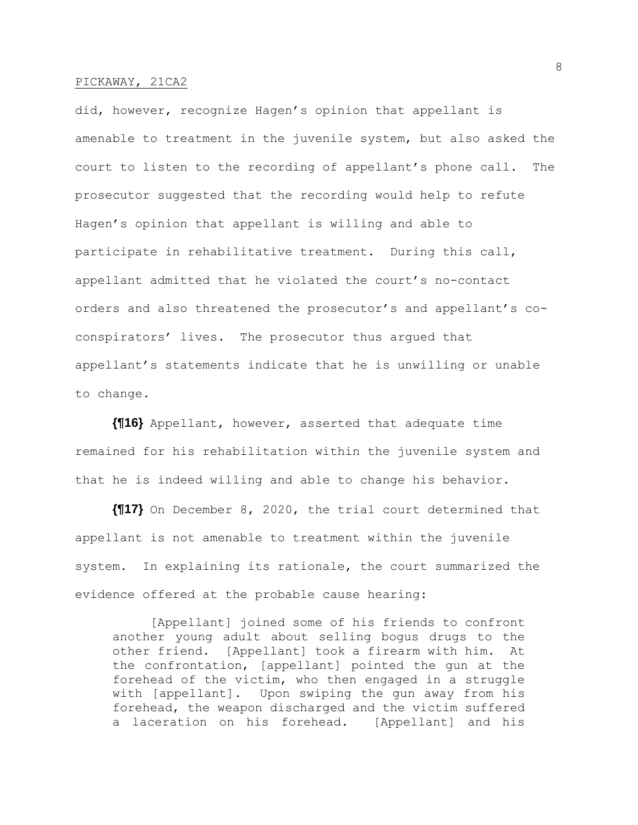did, however, recognize Hagen's opinion that appellant is amenable to treatment in the juvenile system, but also asked the court to listen to the recording of appellant's phone call. The prosecutor suggested that the recording would help to refute Hagen's opinion that appellant is willing and able to participate in rehabilitative treatment. During this call, appellant admitted that he violated the court's no-contact orders and also threatened the prosecutor's and appellant's coconspirators' lives. The prosecutor thus argued that appellant's statements indicate that he is unwilling or unable to change.

**{¶16}** Appellant, however, asserted that adequate time remained for his rehabilitation within the juvenile system and that he is indeed willing and able to change his behavior.

**{¶17}** On December 8, 2020, the trial court determined that appellant is not amenable to treatment within the juvenile system. In explaining its rationale, the court summarized the evidence offered at the probable cause hearing:

[Appellant] joined some of his friends to confront another young adult about selling bogus drugs to the other friend. [Appellant] took a firearm with him. At the confrontation, [appellant] pointed the gun at the forehead of the victim, who then engaged in a struggle with [appellant]. Upon swiping the gun away from his forehead, the weapon discharged and the victim suffered a laceration on his forehead. [Appellant] and his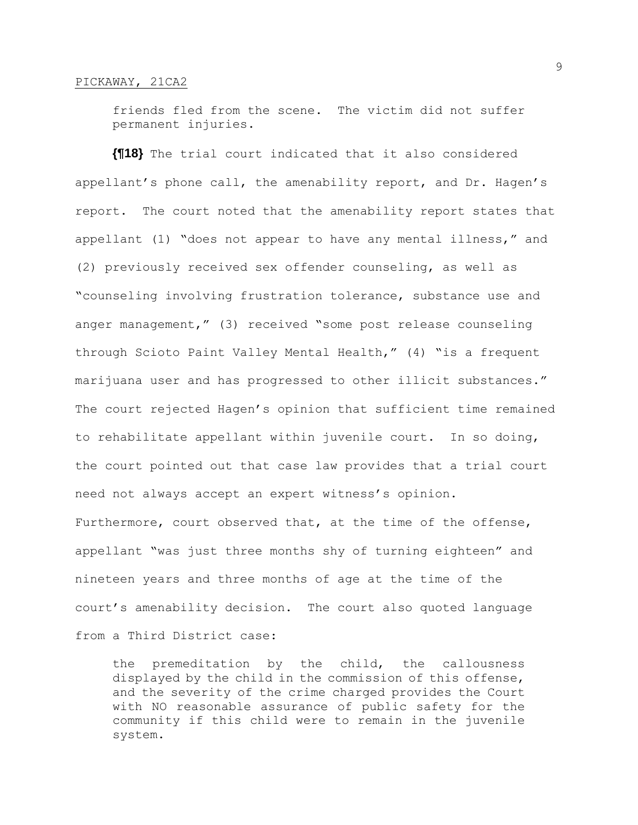friends fled from the scene. The victim did not suffer permanent injuries.

**{¶18}** The trial court indicated that it also considered appellant's phone call, the amenability report, and Dr. Hagen's report. The court noted that the amenability report states that appellant (1) "does not appear to have any mental illness," and (2) previously received sex offender counseling, as well as "counseling involving frustration tolerance, substance use and anger management," (3) received "some post release counseling through Scioto Paint Valley Mental Health," (4) "is a frequent marijuana user and has progressed to other illicit substances." The court rejected Hagen's opinion that sufficient time remained to rehabilitate appellant within juvenile court. In so doing, the court pointed out that case law provides that a trial court need not always accept an expert witness's opinion. Furthermore, court observed that, at the time of the offense, appellant "was just three months shy of turning eighteen" and nineteen years and three months of age at the time of the court's amenability decision. The court also quoted language from a Third District case:

the premeditation by the child, the callousness displayed by the child in the commission of this offense, and the severity of the crime charged provides the Court with NO reasonable assurance of public safety for the community if this child were to remain in the juvenile system.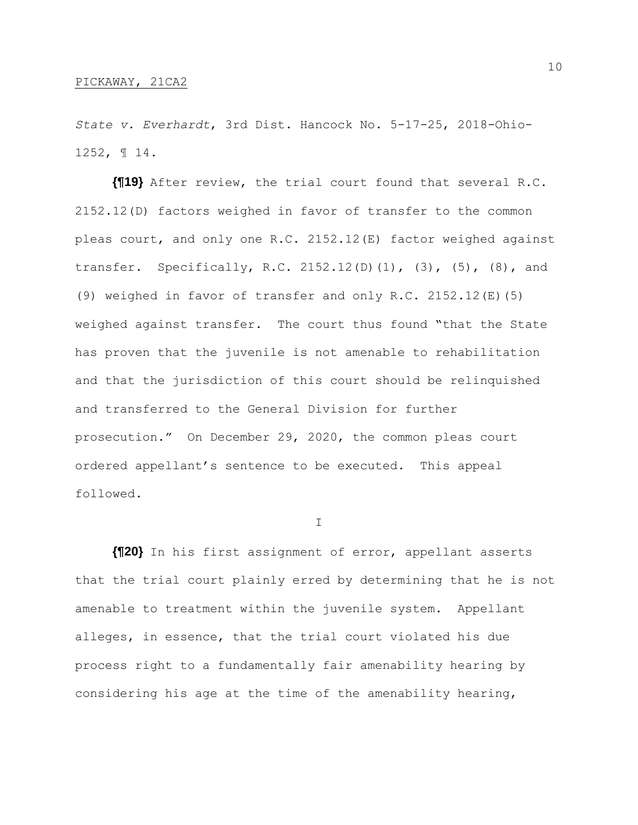*State v. Everhardt*, 3rd Dist. Hancock No. 5-17-25, 2018-Ohio-1252, ¶ 14.

**{¶19}** After review, the trial court found that several R.C. 2152.12(D) factors weighed in favor of transfer to the common pleas court, and only one R.C. 2152.12(E) factor weighed against transfer. Specifically, R.C. 2152.12(D)(1), (3), (5), (8), and (9) weighed in favor of transfer and only R.C. 2152.12(E)(5) weighed against transfer. The court thus found "that the State has proven that the juvenile is not amenable to rehabilitation and that the jurisdiction of this court should be relinquished and transferred to the General Division for further prosecution." On December 29, 2020, the common pleas court ordered appellant's sentence to be executed. This appeal followed.

I

**{¶20}** In his first assignment of error, appellant asserts that the trial court plainly erred by determining that he is not amenable to treatment within the juvenile system. Appellant alleges, in essence, that the trial court violated his due process right to a fundamentally fair amenability hearing by considering his age at the time of the amenability hearing,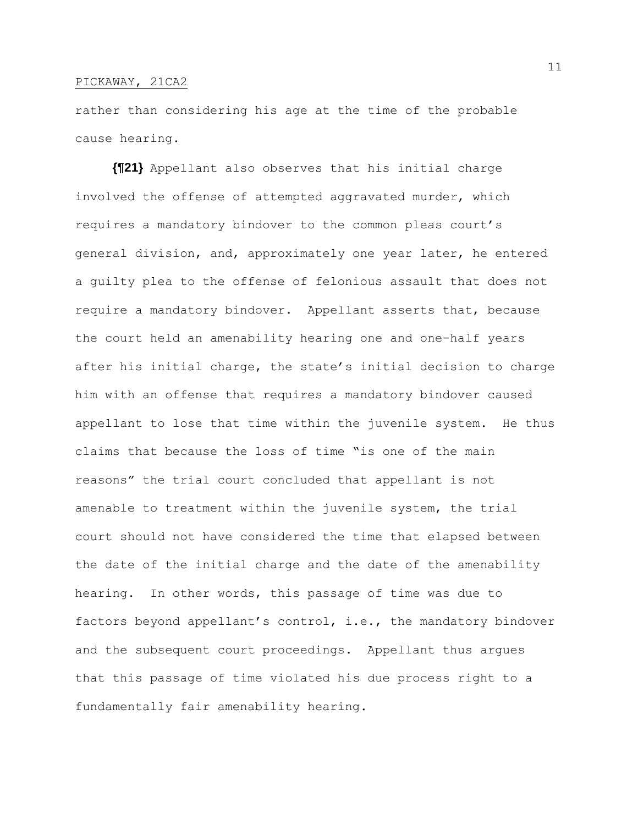rather than considering his age at the time of the probable cause hearing.

**{¶21}** Appellant also observes that his initial charge involved the offense of attempted aggravated murder, which requires a mandatory bindover to the common pleas court's general division, and, approximately one year later, he entered a guilty plea to the offense of felonious assault that does not require a mandatory bindover. Appellant asserts that, because the court held an amenability hearing one and one-half years after his initial charge, the state's initial decision to charge him with an offense that requires a mandatory bindover caused appellant to lose that time within the juvenile system. He thus claims that because the loss of time "is one of the main reasons" the trial court concluded that appellant is not amenable to treatment within the juvenile system, the trial court should not have considered the time that elapsed between the date of the initial charge and the date of the amenability hearing. In other words, this passage of time was due to factors beyond appellant's control, i.e., the mandatory bindover and the subsequent court proceedings. Appellant thus argues that this passage of time violated his due process right to a fundamentally fair amenability hearing.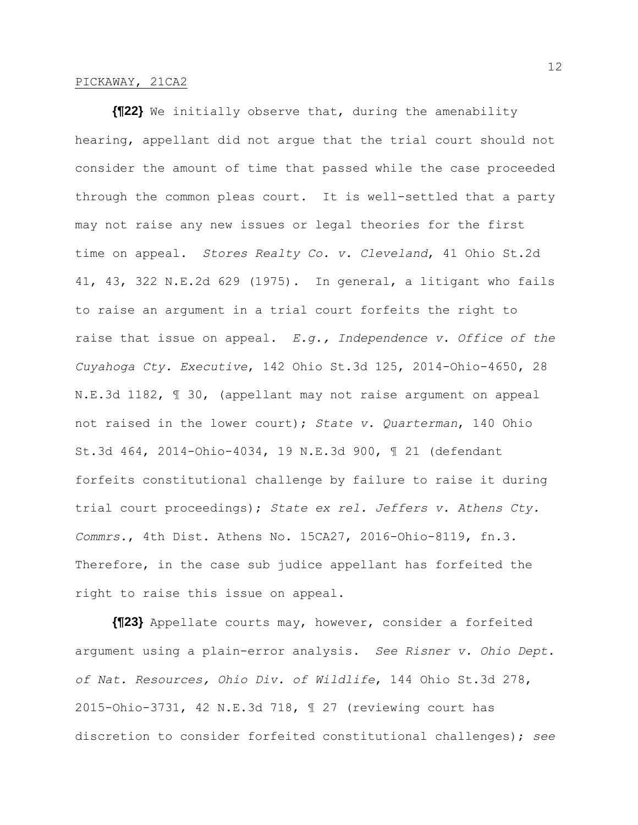**{¶22}** We initially observe that, during the amenability hearing, appellant did not argue that the trial court should not consider the amount of time that passed while the case proceeded through the common pleas court. It is well-settled that a party may not raise any new issues or legal theories for the first time on appeal. *Stores Realty Co. v. Cleveland*, 41 Ohio St.2d 41, 43, 322 N.E.2d 629 (1975). In general, a litigant who fails to raise an argument in a trial court forfeits the right to raise that issue on appeal. *E.g., Independence v. Office of the Cuyahoga Cty. Executive*, 142 Ohio St.3d 125, 2014-Ohio-4650, 28 N.E.3d 1182, ¶ 30, (appellant may not raise argument on appeal not raised in the lower court); *State v. Quarterman*, 140 Ohio St.3d 464, 2014-Ohio-4034, 19 N.E.3d 900, ¶ 21 (defendant forfeits constitutional challenge by failure to raise it during trial court proceedings); *State ex rel. Jeffers v. Athens Cty. Commrs.*, 4th Dist. Athens No. 15CA27, 2016-Ohio-8119, fn.3. Therefore, in the case sub judice appellant has forfeited the right to raise this issue on appeal.

**{¶23}** Appellate courts may, however, consider a forfeited argument using a plain-error analysis. *See Risner v. Ohio Dept. of Nat. Resources, Ohio Div. of Wildlife*, 144 Ohio St.3d 278, 2015-Ohio-3731, 42 N.E.3d 718, ¶ 27 (reviewing court has discretion to consider forfeited constitutional challenges); *see*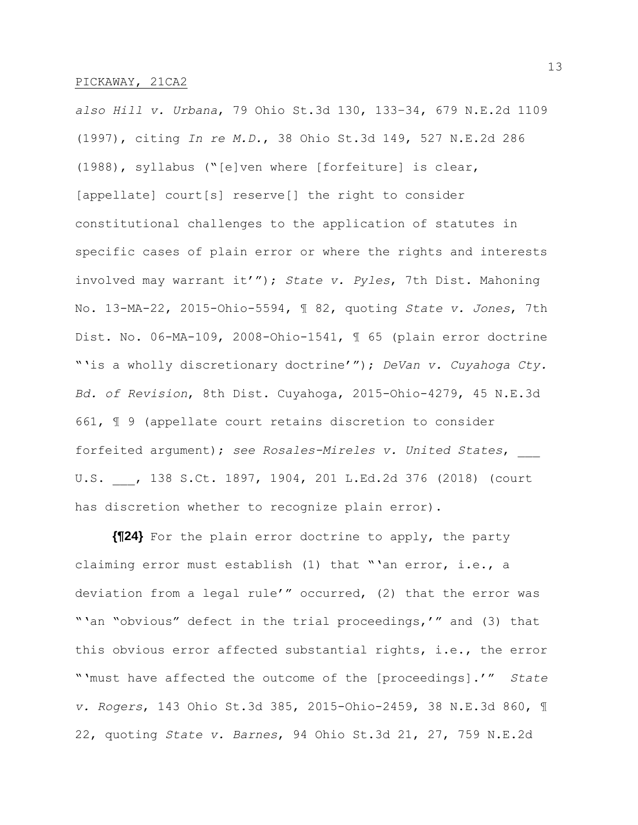*also Hill v. Urbana*, 79 Ohio St.3d 130, 133–34, 679 N.E.2d 1109 (1997), citing *In re M.D.*, 38 Ohio St.3d 149, 527 N.E.2d 286 (1988), syllabus ("[e]ven where [forfeiture] is clear, [appellate] court[s] reserve[] the right to consider constitutional challenges to the application of statutes in specific cases of plain error or where the rights and interests involved may warrant it'"); *State v. Pyles*, 7th Dist. Mahoning No. 13-MA-22, 2015-Ohio-5594, ¶ 82, quoting *State v. Jones*, 7th Dist. No. 06-MA-109, 2008-Ohio-1541, ¶ 65 (plain error doctrine "'is a wholly discretionary doctrine'"); *DeVan v. Cuyahoga Cty. Bd. of Revision*, 8th Dist. Cuyahoga, 2015-Ohio-4279, 45 N.E.3d 661, ¶ 9 (appellate court retains discretion to consider forfeited argument); *see Rosales-Mireles v. United States*, \_\_\_ U.S. , 138 S.Ct. 1897, 1904, 201 L.Ed.2d 376 (2018) (court has discretion whether to recognize plain error).

**{¶24}** For the plain error doctrine to apply, the party claiming error must establish (1) that "'an error, i.e., a deviation from a legal rule'" occurred, (2) that the error was "'an "obvious" defect in the trial proceedings,'" and (3) that this obvious error affected substantial rights, i.e., the error "'must have affected the outcome of the [proceedings].'" *State v. Rogers*, 143 Ohio St.3d 385, 2015-Ohio-2459, 38 N.E.3d 860, ¶ 22, quoting *State v. Barnes*, 94 Ohio St.3d 21, 27, 759 N.E.2d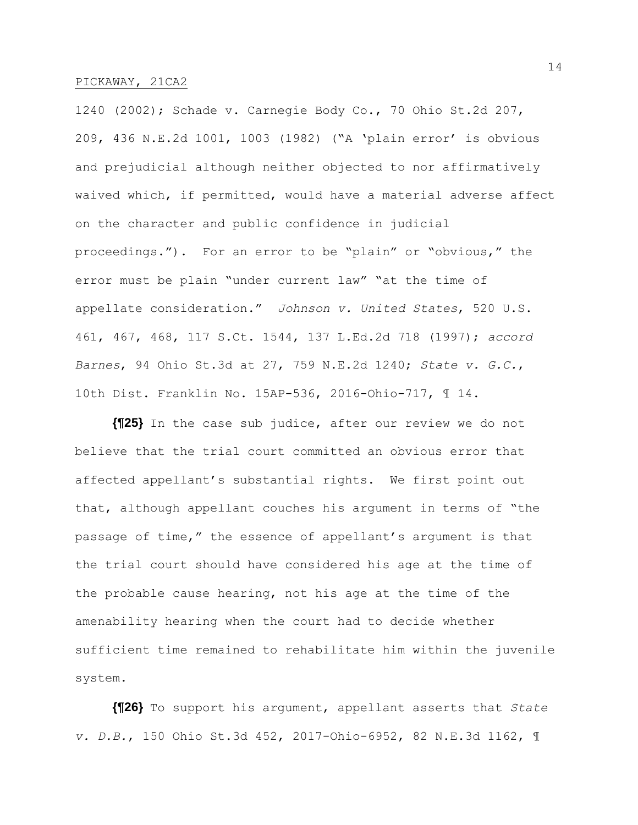1240 (2002); Schade v. Carnegie Body Co., 70 Ohio St.2d 207, 209, 436 N.E.2d 1001, 1003 (1982) ("A 'plain error' is obvious and prejudicial although neither objected to nor affirmatively waived which, if permitted, would have a material adverse affect on the character and public confidence in judicial proceedings."). For an error to be "plain" or "obvious," the error must be plain "under current law" "at the time of appellate consideration." *Johnson v. United States*, 520 U.S. 461, 467, 468, 117 S.Ct. 1544, 137 L.Ed.2d 718 (1997); *accord Barnes*, 94 Ohio St.3d at 27, 759 N.E.2d 1240; *State v. G.C.*, 10th Dist. Franklin No. 15AP-536, 2016-Ohio-717, ¶ 14.

**{¶25}** In the case sub judice, after our review we do not believe that the trial court committed an obvious error that affected appellant's substantial rights. We first point out that, although appellant couches his argument in terms of "the passage of time," the essence of appellant's argument is that the trial court should have considered his age at the time of the probable cause hearing, not his age at the time of the amenability hearing when the court had to decide whether sufficient time remained to rehabilitate him within the juvenile system.

**{¶26}** To support his argument, appellant asserts that *State v. D.B.*, 150 Ohio St.3d 452, 2017-Ohio-6952, 82 N.E.3d 1162, ¶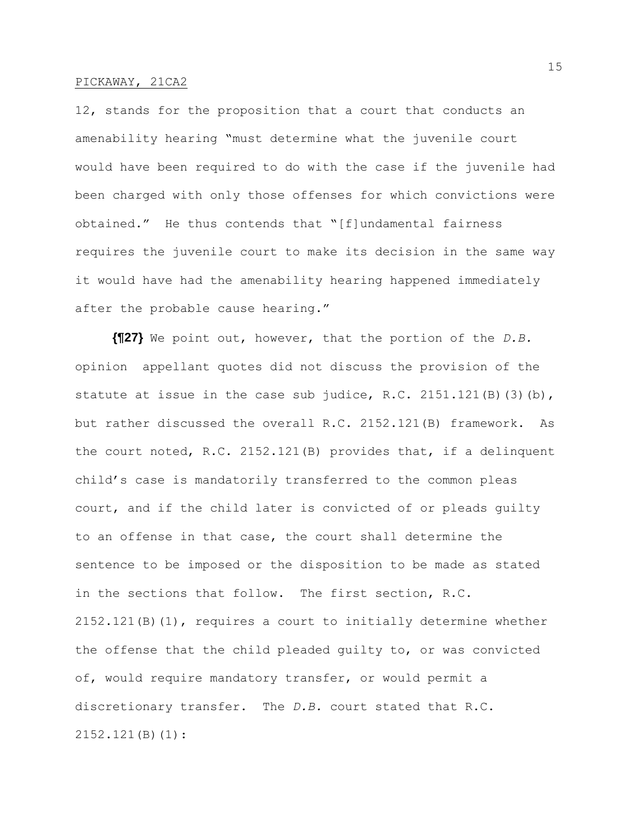12, stands for the proposition that a court that conducts an amenability hearing "must determine what the juvenile court would have been required to do with the case if the juvenile had been charged with only those offenses for which convictions were obtained." He thus contends that "[f]undamental fairness requires the juvenile court to make its decision in the same way it would have had the amenability hearing happened immediately after the probable cause hearing."

**{¶27}** We point out, however, that the portion of the *D.B.* opinion appellant quotes did not discuss the provision of the statute at issue in the case sub judice, R.C. 2151.121(B)(3)(b), but rather discussed the overall R.C. 2152.121(B) framework. As the court noted, R.C. 2152.121(B) provides that, if a delinquent child's case is mandatorily transferred to the common pleas court, and if the child later is convicted of or pleads guilty to an offense in that case, the court shall determine the sentence to be imposed or the disposition to be made as stated in the sections that follow. The first section, R.C. 2152.121(B)(1), requires a court to initially determine whether the offense that the child pleaded guilty to, or was convicted of, would require mandatory transfer, or would permit a discretionary transfer. The *D.B.* court stated that R.C. 2152.121(B)(1):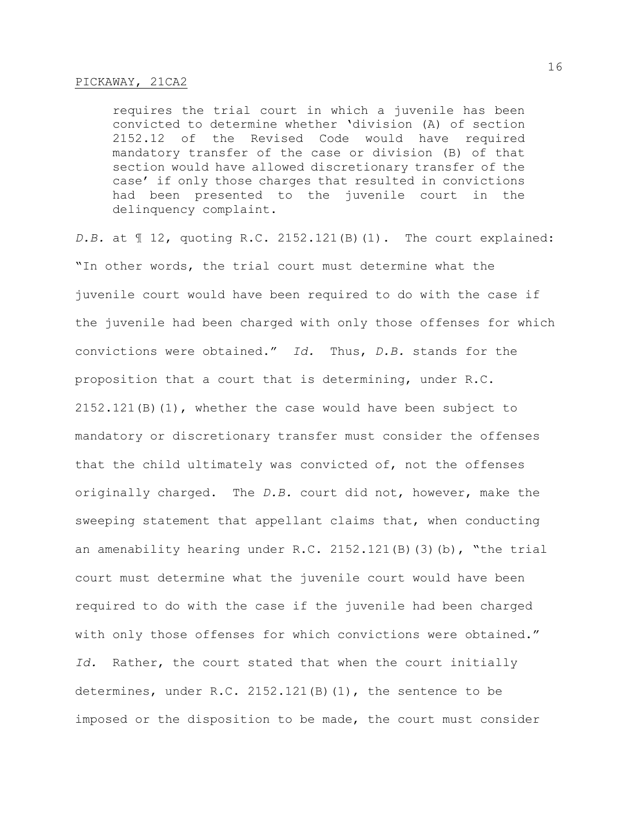requires the trial court in which a juvenile has been convicted to determine whether 'division (A) of section 2152.12 of the Revised Code would have required mandatory transfer of the case or division (B) of that section would have allowed discretionary transfer of the case' if only those charges that resulted in convictions had been presented to the juvenile court in the delinquency complaint.

*D.B.* at ¶ 12, quoting R.C. 2152.121(B)(1). The court explained: "In other words, the trial court must determine what the juvenile court would have been required to do with the case if the juvenile had been charged with only those offenses for which convictions were obtained." *Id.* Thus, *D.B.* stands for the proposition that a court that is determining, under R.C. 2152.121(B)(1), whether the case would have been subject to mandatory or discretionary transfer must consider the offenses that the child ultimately was convicted of, not the offenses originally charged. The *D.B.* court did not, however, make the sweeping statement that appellant claims that, when conducting an amenability hearing under R.C. 2152.121(B)(3)(b), "the trial court must determine what the juvenile court would have been required to do with the case if the juvenile had been charged with only those offenses for which convictions were obtained." *Id.* Rather, the court stated that when the court initially determines, under R.C. 2152.121(B)(1), the sentence to be imposed or the disposition to be made, the court must consider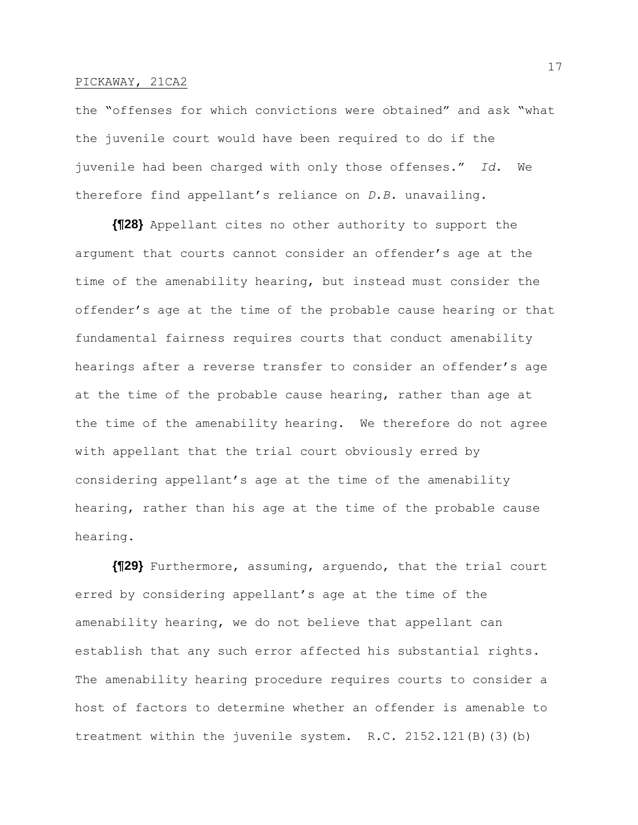the "offenses for which convictions were obtained" and ask "what the juvenile court would have been required to do if the juvenile had been charged with only those offenses." *Id.* We therefore find appellant's reliance on *D.B.* unavailing.

**{¶28}** Appellant cites no other authority to support the argument that courts cannot consider an offender's age at the time of the amenability hearing, but instead must consider the offender's age at the time of the probable cause hearing or that fundamental fairness requires courts that conduct amenability hearings after a reverse transfer to consider an offender's age at the time of the probable cause hearing, rather than age at the time of the amenability hearing. We therefore do not agree with appellant that the trial court obviously erred by considering appellant's age at the time of the amenability hearing, rather than his age at the time of the probable cause hearing.

**{¶29}** Furthermore, assuming, arguendo, that the trial court erred by considering appellant's age at the time of the amenability hearing, we do not believe that appellant can establish that any such error affected his substantial rights. The amenability hearing procedure requires courts to consider a host of factors to determine whether an offender is amenable to treatment within the juvenile system. R.C. 2152.121(B)(3)(b)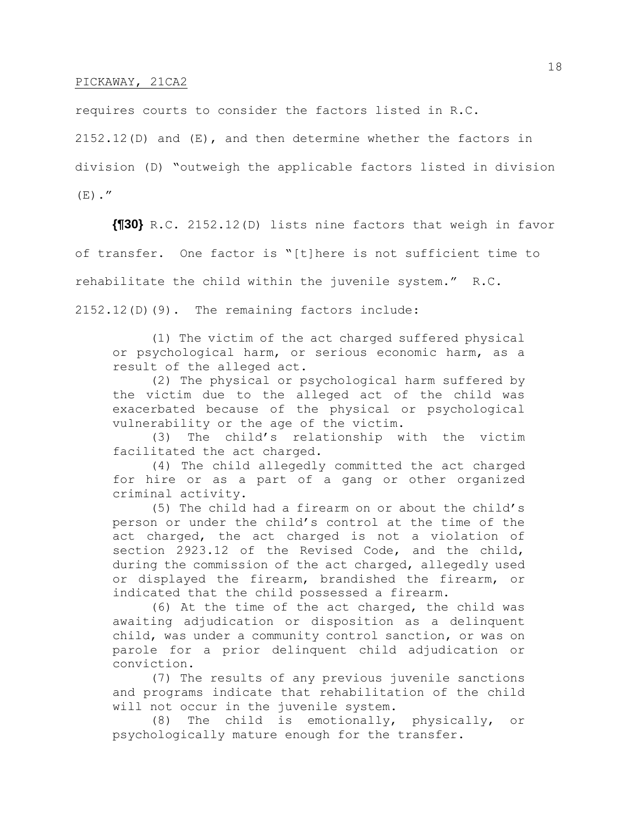requires courts to consider the factors listed in R.C.

2152.12(D) and (E), and then determine whether the factors in division (D) "outweigh the applicable factors listed in division  $(E)$ ."

**{¶30}** R.C. 2152.12(D) lists nine factors that weigh in favor of transfer. One factor is "[t]here is not sufficient time to rehabilitate the child within the juvenile system." R.C. 2152.12(D)(9). The remaining factors include:

(1) The victim of the act charged suffered physical or psychological harm, or serious economic harm, as a result of the alleged act.

(2) The physical or psychological harm suffered by the victim due to the alleged act of the child was exacerbated because of the physical or psychological vulnerability or the age of the victim.

(3) The child's relationship with the victim facilitated the act charged.

(4) The child allegedly committed the act charged for hire or as a part of a gang or other organized criminal activity.

(5) The child had a firearm on or about the child's person or under the child's control at the time of the act charged, the act charged is not a violation of section 2923.12 of the Revised Code, and the child, during the commission of the act charged, allegedly used or displayed the firearm, brandished the firearm, or indicated that the child possessed a firearm.

(6) At the time of the act charged, the child was awaiting adjudication or disposition as a delinquent child, was under a community control sanction, or was on parole for a prior delinquent child adjudication or conviction.

(7) The results of any previous juvenile sanctions and programs indicate that rehabilitation of the child will not occur in the juvenile system.

(8) The child is emotionally, physically, or psychologically mature enough for the transfer.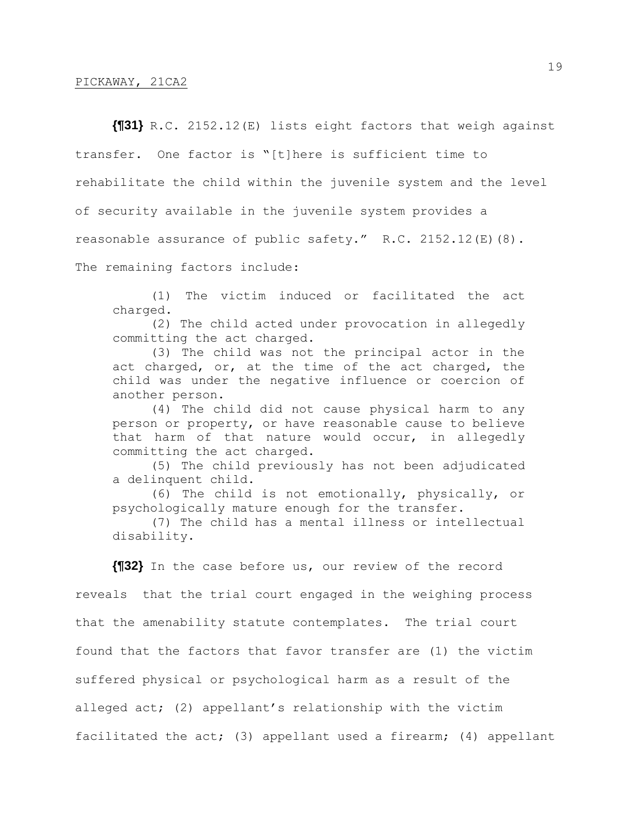**{¶31}** R.C. 2152.12(E) lists eight factors that weigh against transfer. One factor is "[t]here is sufficient time to rehabilitate the child within the juvenile system and the level of security available in the juvenile system provides a reasonable assurance of public safety." R.C. 2152.12(E)(8). The remaining factors include:

(1) The victim induced or facilitated the act charged.

(2) The child acted under provocation in allegedly committing the act charged.

(3) The child was not the principal actor in the act charged, or, at the time of the act charged, the child was under the negative influence or coercion of another person.

(4) The child did not cause physical harm to any person or property, or have reasonable cause to believe that harm of that nature would occur, in allegedly committing the act charged.

(5) The child previously has not been adjudicated a delinquent child.

(6) The child is not emotionally, physically, or psychologically mature enough for the transfer.

(7) The child has a mental illness or intellectual disability.

**{¶32}** In the case before us, our review of the record

reveals that the trial court engaged in the weighing process that the amenability statute contemplates. The trial court found that the factors that favor transfer are (1) the victim suffered physical or psychological harm as a result of the alleged act; (2) appellant's relationship with the victim facilitated the act; (3) appellant used a firearm; (4) appellant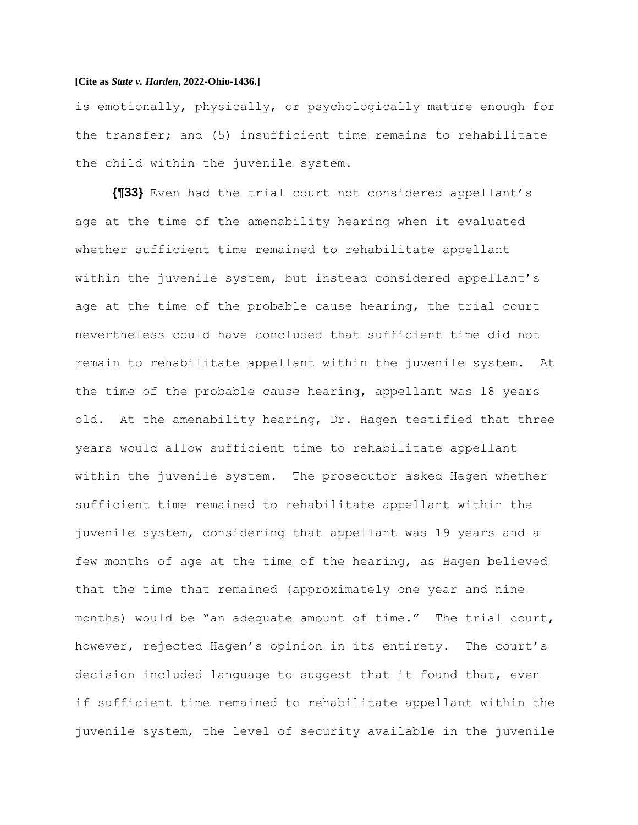is emotionally, physically, or psychologically mature enough for the transfer; and (5) insufficient time remains to rehabilitate the child within the juvenile system.

**{¶33}** Even had the trial court not considered appellant's age at the time of the amenability hearing when it evaluated whether sufficient time remained to rehabilitate appellant within the juvenile system, but instead considered appellant's age at the time of the probable cause hearing, the trial court nevertheless could have concluded that sufficient time did not remain to rehabilitate appellant within the juvenile system. At the time of the probable cause hearing, appellant was 18 years old. At the amenability hearing, Dr. Hagen testified that three years would allow sufficient time to rehabilitate appellant within the juvenile system. The prosecutor asked Hagen whether sufficient time remained to rehabilitate appellant within the juvenile system, considering that appellant was 19 years and a few months of age at the time of the hearing, as Hagen believed that the time that remained (approximately one year and nine months) would be "an adequate amount of time." The trial court, however, rejected Hagen's opinion in its entirety. The court's decision included language to suggest that it found that, even if sufficient time remained to rehabilitate appellant within the juvenile system, the level of security available in the juvenile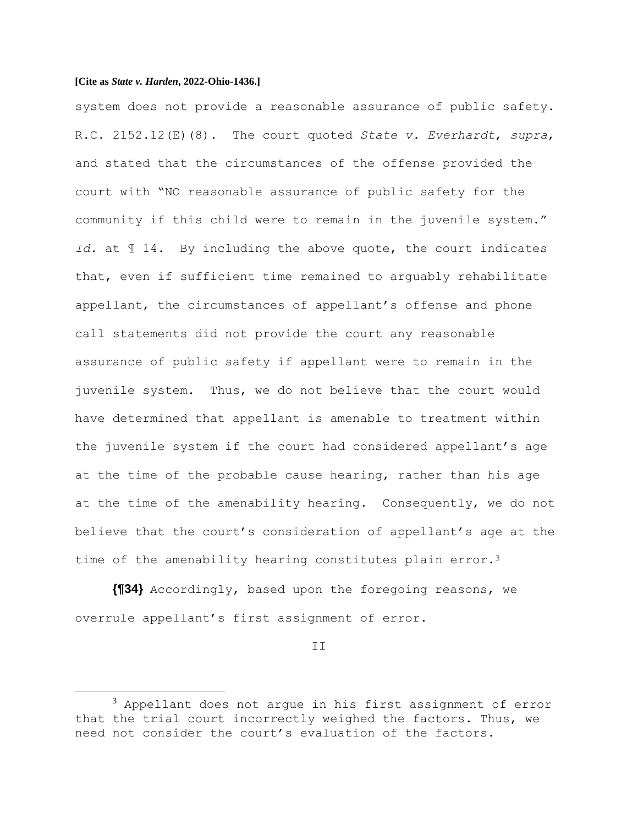system does not provide a reasonable assurance of public safety. R.C. 2152.12(E)(8). The court quoted *State v. Everhardt*, *supra*, and stated that the circumstances of the offense provided the court with "NO reasonable assurance of public safety for the community if this child were to remain in the juvenile system." *Id.* at ¶ 14. By including the above quote, the court indicates that, even if sufficient time remained to arguably rehabilitate appellant, the circumstances of appellant's offense and phone call statements did not provide the court any reasonable assurance of public safety if appellant were to remain in the juvenile system. Thus, we do not believe that the court would have determined that appellant is amenable to treatment within the juvenile system if the court had considered appellant's age at the time of the probable cause hearing, rather than his age at the time of the amenability hearing. Consequently, we do not believe that the court's consideration of appellant's age at the time of the amenability hearing constitutes plain error.<sup>3</sup>

**{¶34}** Accordingly, based upon the foregoing reasons, we overrule appellant's first assignment of error.

II

 $3$  Appellant does not argue in his first assignment of error that the trial court incorrectly weighed the factors. Thus, we need not consider the court's evaluation of the factors.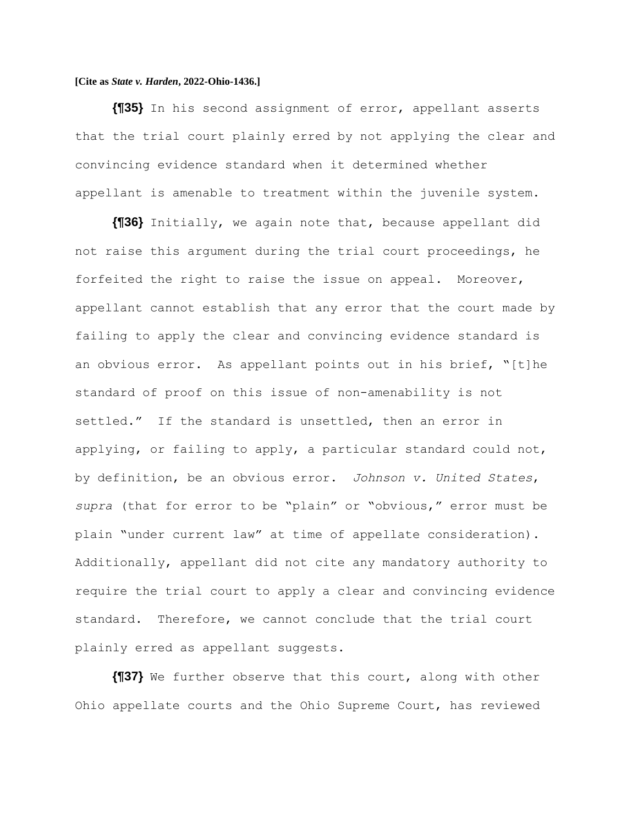**{¶35}** In his second assignment of error, appellant asserts that the trial court plainly erred by not applying the clear and convincing evidence standard when it determined whether appellant is amenable to treatment within the juvenile system.

**{¶36}** Initially, we again note that, because appellant did not raise this argument during the trial court proceedings, he forfeited the right to raise the issue on appeal. Moreover, appellant cannot establish that any error that the court made by failing to apply the clear and convincing evidence standard is an obvious error. As appellant points out in his brief, "[t]he standard of proof on this issue of non-amenability is not settled." If the standard is unsettled, then an error in applying, or failing to apply, a particular standard could not, by definition, be an obvious error. *Johnson v. United States*, *supra* (that for error to be "plain" or "obvious," error must be plain "under current law" at time of appellate consideration). Additionally, appellant did not cite any mandatory authority to require the trial court to apply a clear and convincing evidence standard. Therefore, we cannot conclude that the trial court plainly erred as appellant suggests.

**{¶37}** We further observe that this court, along with other Ohio appellate courts and the Ohio Supreme Court, has reviewed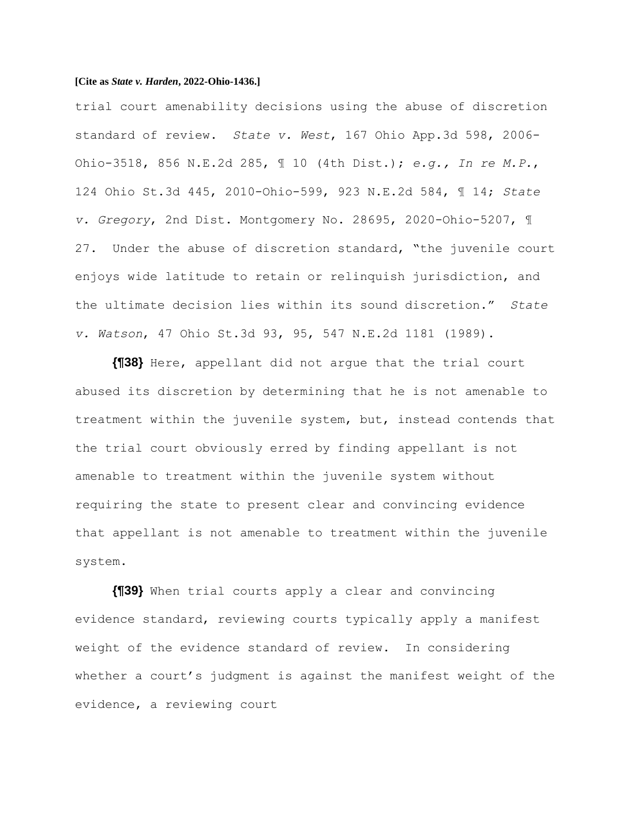trial court amenability decisions using the abuse of discretion standard of review. *State v. West*, 167 Ohio App.3d 598, 2006- Ohio-3518, 856 N.E.2d 285, ¶ 10 (4th Dist.); *e.g., In re M.P.*, 124 Ohio St.3d 445, 2010-Ohio-599, 923 N.E.2d 584, ¶ 14; *State v. Gregory*, 2nd Dist. Montgomery No. 28695, 2020-Ohio-5207, ¶ 27. Under the abuse of discretion standard, "the juvenile court enjoys wide latitude to retain or relinquish jurisdiction, and the ultimate decision lies within its sound discretion." *State v. Watson*, 47 Ohio St.3d 93, 95, 547 N.E.2d 1181 (1989).

**{¶38}** Here, appellant did not argue that the trial court abused its discretion by determining that he is not amenable to treatment within the juvenile system, but, instead contends that the trial court obviously erred by finding appellant is not amenable to treatment within the juvenile system without requiring the state to present clear and convincing evidence that appellant is not amenable to treatment within the juvenile system.

**{¶39}** When trial courts apply a clear and convincing evidence standard, reviewing courts typically apply a manifest weight of the evidence standard of review. In considering whether a court's judgment is against the manifest weight of the evidence, a reviewing court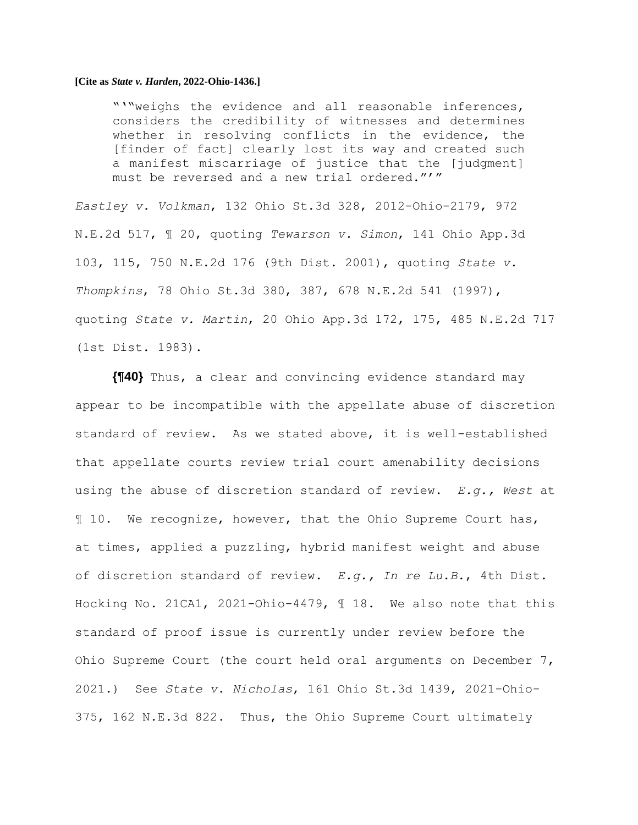"'"weighs the evidence and all reasonable inferences, considers the credibility of witnesses and determines whether in resolving conflicts in the evidence, the [finder of fact] clearly lost its way and created such a manifest miscarriage of justice that the [judgment] must be reversed and a new trial ordered."'"

*Eastley v. Volkman*, 132 Ohio St.3d 328, 2012-Ohio-2179, 972 N.E.2d 517, ¶ 20, quoting *Tewarson v. Simon*, 141 Ohio App.3d 103, 115, 750 N.E.2d 176 (9th Dist. 2001), quoting *State v. Thompkins*, 78 Ohio St.3d 380, 387, 678 N.E.2d 541 (1997), quoting *State v. Martin*, 20 Ohio App.3d 172, 175, 485 N.E.2d 717 (1st Dist. 1983).

**{¶40}** Thus, a clear and convincing evidence standard may appear to be incompatible with the appellate abuse of discretion standard of review. As we stated above, it is well-established that appellate courts review trial court amenability decisions using the abuse of discretion standard of review. *E.g., West* at ¶ 10. We recognize, however, that the Ohio Supreme Court has, at times, applied a puzzling, hybrid manifest weight and abuse of discretion standard of review. *E.g., In re Lu.B.*, 4th Dist. Hocking No. 21CA1, 2021-Ohio-4479, ¶ 18. We also note that this standard of proof issue is currently under review before the Ohio Supreme Court (the court held oral arguments on December 7, 2021.) See *State v. Nicholas*, 161 Ohio St.3d 1439, 2021-Ohio-375, 162 N.E.3d 822. Thus, the Ohio Supreme Court ultimately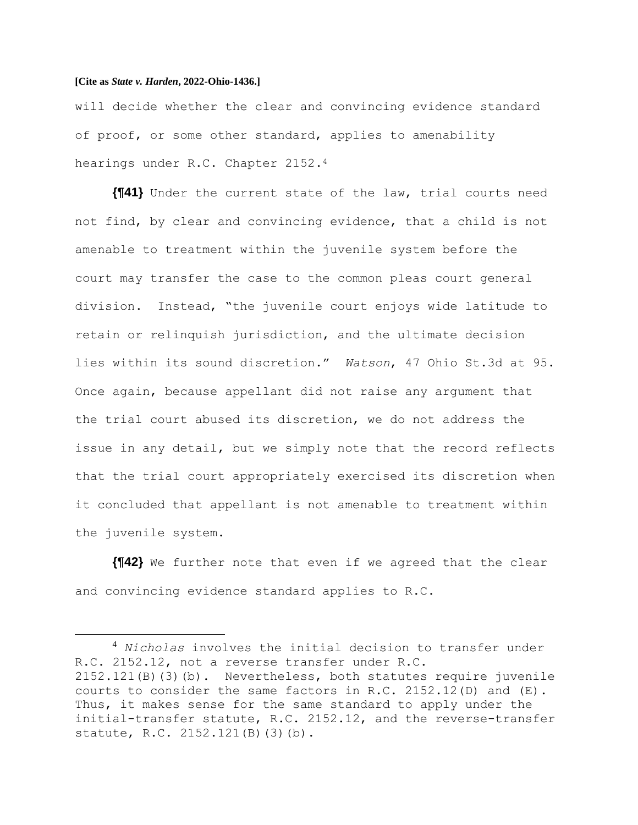will decide whether the clear and convincing evidence standard of proof, or some other standard, applies to amenability hearings under R.C. Chapter 2152.<sup>4</sup>

**{¶41}** Under the current state of the law, trial courts need not find, by clear and convincing evidence, that a child is not amenable to treatment within the juvenile system before the court may transfer the case to the common pleas court general division. Instead, "the juvenile court enjoys wide latitude to retain or relinquish jurisdiction, and the ultimate decision lies within its sound discretion." *Watson*, 47 Ohio St.3d at 95. Once again, because appellant did not raise any argument that the trial court abused its discretion, we do not address the issue in any detail, but we simply note that the record reflects that the trial court appropriately exercised its discretion when it concluded that appellant is not amenable to treatment within the juvenile system.

**{¶42}** We further note that even if we agreed that the clear and convincing evidence standard applies to R.C.

<sup>4</sup> *Nicholas* involves the initial decision to transfer under R.C. 2152.12, not a reverse transfer under R.C. 2152.121(B)(3)(b). Nevertheless, both statutes require juvenile courts to consider the same factors in R.C. 2152.12(D) and  $(E)$ . Thus, it makes sense for the same standard to apply under the initial-transfer statute, R.C. 2152.12, and the reverse-transfer statute, R.C. 2152.121(B)(3)(b).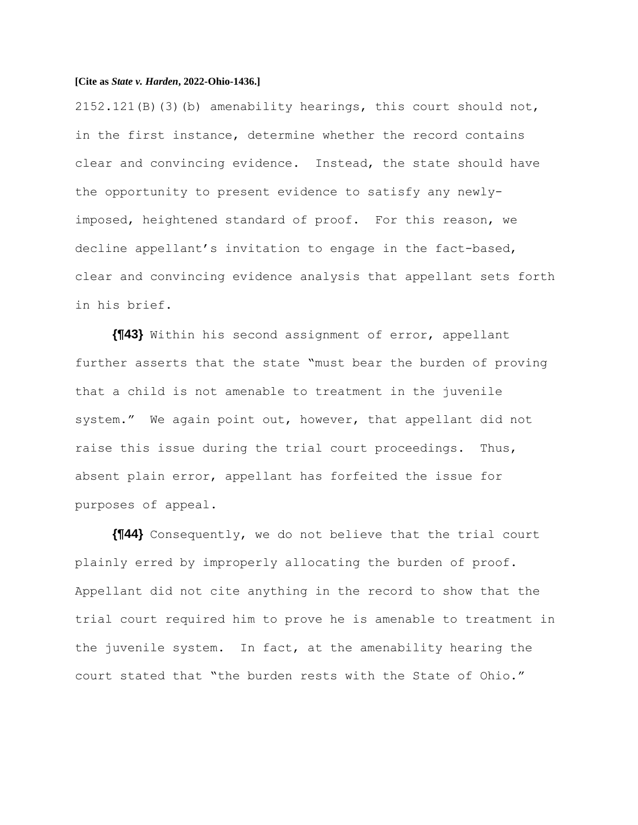$2152.121(B)(3)$  (b) amenability hearings, this court should not, in the first instance, determine whether the record contains clear and convincing evidence. Instead, the state should have the opportunity to present evidence to satisfy any newlyimposed, heightened standard of proof. For this reason, we decline appellant's invitation to engage in the fact-based, clear and convincing evidence analysis that appellant sets forth in his brief.

**{¶43}** Within his second assignment of error, appellant further asserts that the state "must bear the burden of proving that a child is not amenable to treatment in the juvenile system." We again point out, however, that appellant did not raise this issue during the trial court proceedings. Thus, absent plain error, appellant has forfeited the issue for purposes of appeal.

**{¶44}** Consequently, we do not believe that the trial court plainly erred by improperly allocating the burden of proof. Appellant did not cite anything in the record to show that the trial court required him to prove he is amenable to treatment in the juvenile system. In fact, at the amenability hearing the court stated that "the burden rests with the State of Ohio."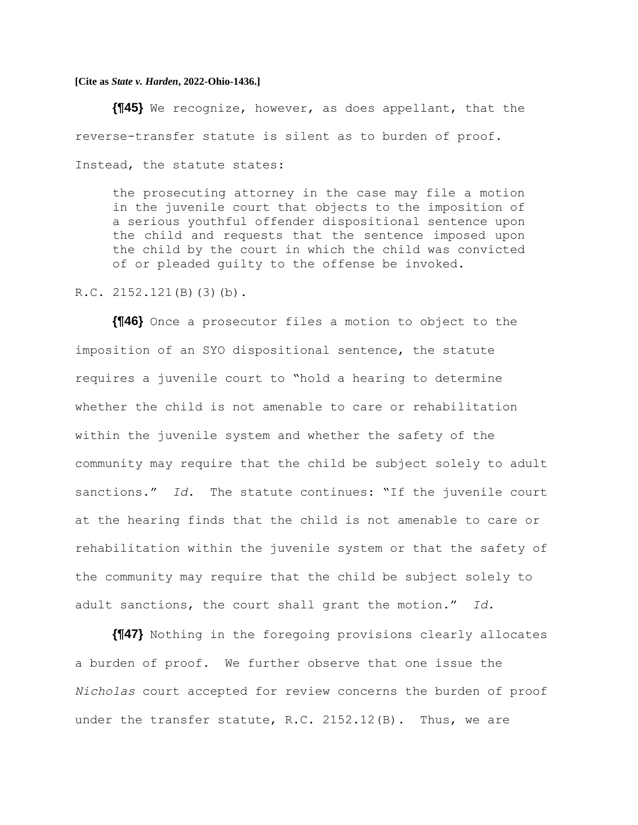**{¶45}** We recognize, however, as does appellant, that the reverse-transfer statute is silent as to burden of proof. Instead, the statute states:

the prosecuting attorney in the case may file a motion in the juvenile court that objects to the imposition of a serious youthful offender dispositional sentence upon the child and requests that the sentence imposed upon the child by the court in which the child was convicted of or pleaded guilty to the offense be invoked.

R.C. 2152.121(B)(3)(b).

**{¶46}** Once a prosecutor files a motion to object to the imposition of an SYO dispositional sentence, the statute requires a juvenile court to "hold a hearing to determine whether the child is not amenable to care or rehabilitation within the juvenile system and whether the safety of the community may require that the child be subject solely to adult sanctions." *Id.* The statute continues: "If the juvenile court at the hearing finds that the child is not amenable to care or rehabilitation within the juvenile system or that the safety of the community may require that the child be subject solely to adult sanctions, the court shall grant the motion." *Id.*

**{¶47}** Nothing in the foregoing provisions clearly allocates a burden of proof. We further observe that one issue the *Nicholas* court accepted for review concerns the burden of proof under the transfer statute, R.C. 2152.12(B). Thus, we are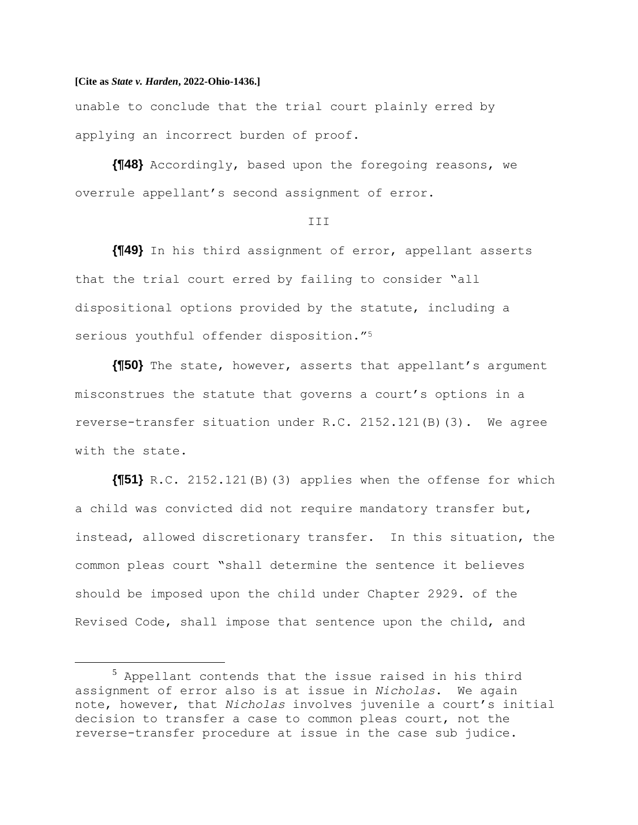unable to conclude that the trial court plainly erred by applying an incorrect burden of proof.

**{¶48}** Accordingly, based upon the foregoing reasons, we overrule appellant's second assignment of error.

#### III

**{¶49}** In his third assignment of error, appellant asserts that the trial court erred by failing to consider "all dispositional options provided by the statute, including a serious youthful offender disposition."<sup>5</sup>

**{¶50}** The state, however, asserts that appellant's argument misconstrues the statute that governs a court's options in a reverse-transfer situation under R.C. 2152.121(B)(3). We agree with the state.

**{¶51}** R.C. 2152.121(B)(3) applies when the offense for which a child was convicted did not require mandatory transfer but, instead, allowed discretionary transfer. In this situation, the common pleas court "shall determine the sentence it believes should be imposed upon the child under Chapter 2929. of the Revised Code, shall impose that sentence upon the child, and

<sup>5</sup> Appellant contends that the issue raised in his third assignment of error also is at issue in *Nicholas*. We again note, however, that *Nicholas* involves juvenile a court's initial decision to transfer a case to common pleas court, not the reverse-transfer procedure at issue in the case sub judice.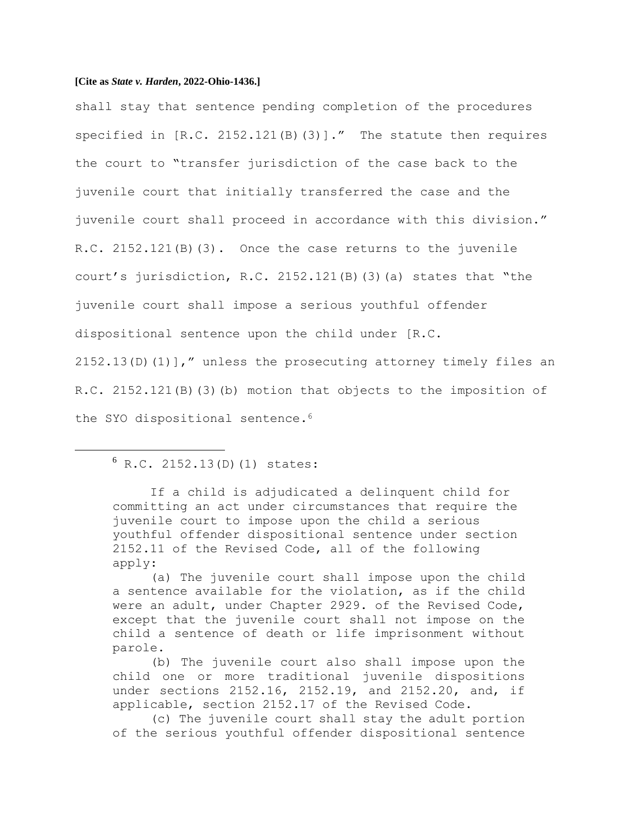shall stay that sentence pending completion of the procedures specified in [R.C. 2152.121(B)(3)]." The statute then requires the court to "transfer jurisdiction of the case back to the juvenile court that initially transferred the case and the juvenile court shall proceed in accordance with this division." R.C. 2152.121(B)(3). Once the case returns to the juvenile court's jurisdiction, R.C. 2152.121(B)(3)(a) states that "the juvenile court shall impose a serious youthful offender dispositional sentence upon the child under [R.C.  $2152.13(D)(1)$ ]," unless the prosecuting attorney timely files an R.C. 2152.121(B)(3)(b) motion that objects to the imposition of the SYO dispositional sentence.<sup>6</sup>

# $6 R.C. 2152.13(D)(1) states:$

If a child is adjudicated a delinquent child for committing an act under circumstances that require the juvenile court to impose upon the child a serious youthful offender dispositional sentence under section 2152.11 of the Revised Code, all of the following apply:

(a) The juvenile court shall impose upon the child a sentence available for the violation, as if the child were an adult, under Chapter 2929. of the Revised Code, except that the juvenile court shall not impose on the child a sentence of death or life imprisonment without parole.

(b) The juvenile court also shall impose upon the child one or more traditional juvenile dispositions under sections 2152.16, 2152.19, and 2152.20, and, if applicable, section 2152.17 of the Revised Code.

(c) The juvenile court shall stay the adult portion of the serious youthful offender dispositional sentence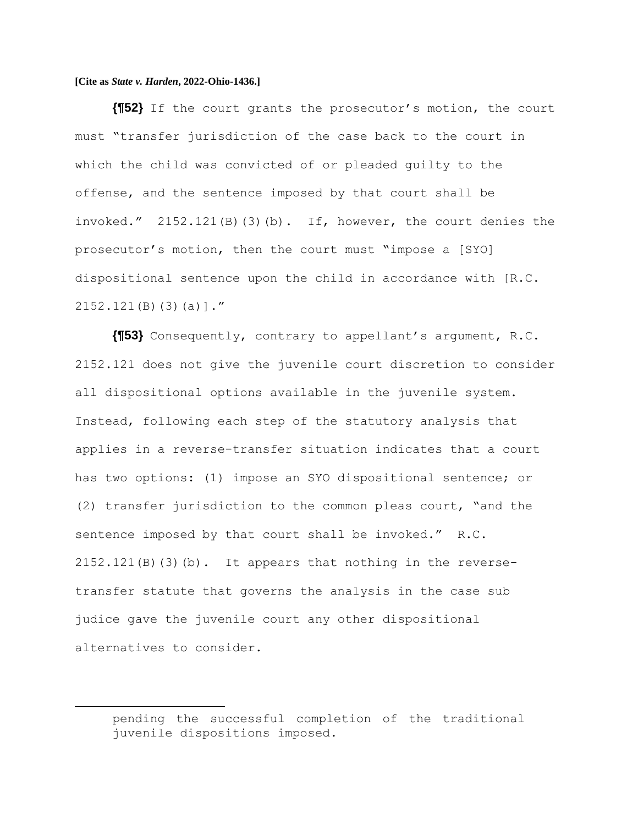**{¶52}** If the court grants the prosecutor's motion, the court must "transfer jurisdiction of the case back to the court in which the child was convicted of or pleaded guilty to the offense, and the sentence imposed by that court shall be invoked." 2152.121(B)(3)(b). If, however, the court denies the prosecutor's motion, then the court must "impose a [SYO] dispositional sentence upon the child in accordance with [R.C. 2152.121(B)(3)(a)]."

**{¶53}** Consequently, contrary to appellant's argument, R.C. 2152.121 does not give the juvenile court discretion to consider all dispositional options available in the juvenile system. Instead, following each step of the statutory analysis that applies in a reverse-transfer situation indicates that a court has two options: (1) impose an SYO dispositional sentence; or (2) transfer jurisdiction to the common pleas court, "and the sentence imposed by that court shall be invoked." R.C.  $2152.121(B)(3)$  (b). It appears that nothing in the reversetransfer statute that governs the analysis in the case sub judice gave the juvenile court any other dispositional alternatives to consider.

pending the successful completion of the traditional juvenile dispositions imposed.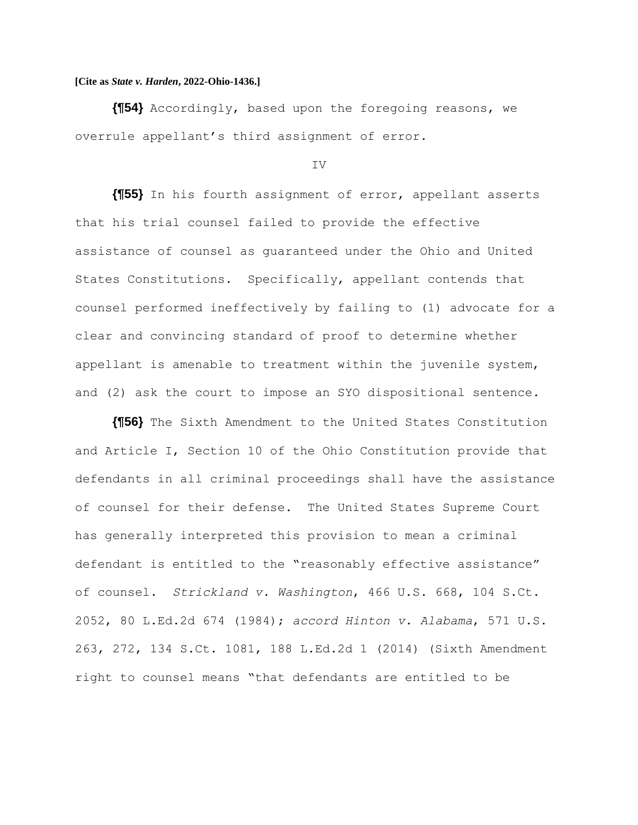**{¶54}** Accordingly, based upon the foregoing reasons, we overrule appellant's third assignment of error.

#### IV

**{¶55}** In his fourth assignment of error, appellant asserts that his trial counsel failed to provide the effective assistance of counsel as guaranteed under the Ohio and United States Constitutions. Specifically, appellant contends that counsel performed ineffectively by failing to (1) advocate for a clear and convincing standard of proof to determine whether appellant is amenable to treatment within the juvenile system, and (2) ask the court to impose an SYO dispositional sentence.

**{¶56}** The Sixth Amendment to the United States Constitution and Article I, Section 10 of the Ohio Constitution provide that defendants in all criminal proceedings shall have the assistance of counsel for their defense. The United States Supreme Court has generally interpreted this provision to mean a criminal defendant is entitled to the "reasonably effective assistance" of counsel. *Strickland v. Washington*, 466 U.S. 668, 104 S.Ct. 2052, 80 L.Ed.2d 674 (1984); *accord Hinton v. Alabama*, 571 U.S. 263, 272, 134 S.Ct. 1081, 188 L.Ed.2d 1 (2014) (Sixth Amendment right to counsel means "that defendants are entitled to be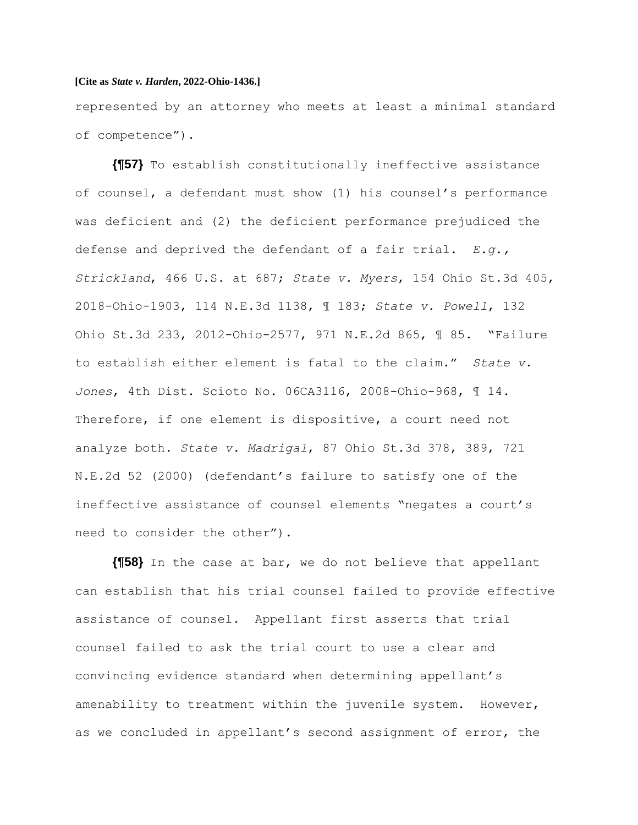represented by an attorney who meets at least a minimal standard of competence").

**{¶57}** To establish constitutionally ineffective assistance of counsel, a defendant must show (1) his counsel's performance was deficient and (2) the deficient performance prejudiced the defense and deprived the defendant of a fair trial. *E.g., Strickland*, 466 U.S. at 687; *State v. Myers*, 154 Ohio St.3d 405, 2018-Ohio-1903, 114 N.E.3d 1138, ¶ 183; *State v. Powell*, 132 Ohio St.3d 233, 2012-Ohio-2577, 971 N.E.2d 865, ¶ 85. "Failure to establish either element is fatal to the claim." *State v. Jones*, 4th Dist. Scioto No. 06CA3116, 2008-Ohio-968, ¶ 14. Therefore, if one element is dispositive, a court need not analyze both. *State v. Madrigal*, 87 Ohio St.3d 378, 389, 721 N.E.2d 52 (2000) (defendant's failure to satisfy one of the ineffective assistance of counsel elements "negates a court's need to consider the other").

**{¶58}** In the case at bar, we do not believe that appellant can establish that his trial counsel failed to provide effective assistance of counsel. Appellant first asserts that trial counsel failed to ask the trial court to use a clear and convincing evidence standard when determining appellant's amenability to treatment within the juvenile system. However, as we concluded in appellant's second assignment of error, the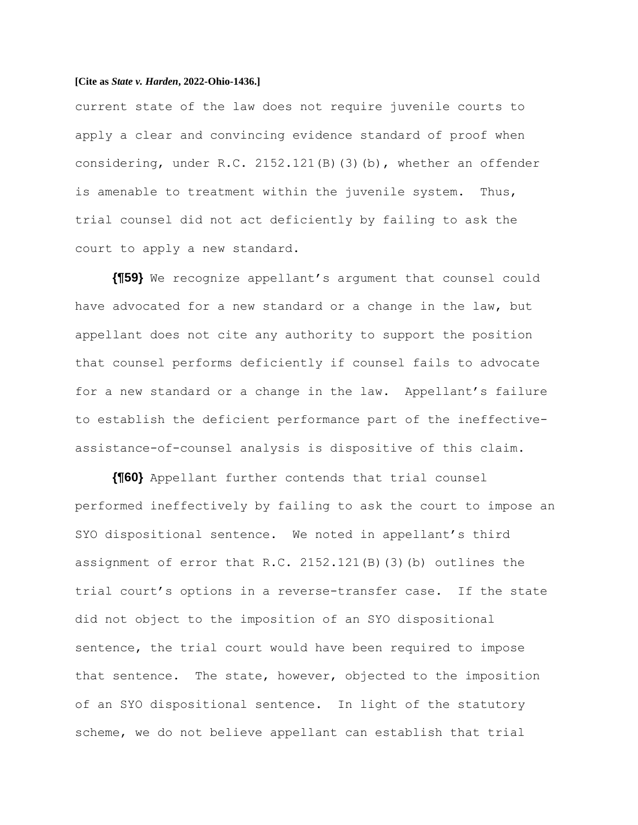current state of the law does not require juvenile courts to apply a clear and convincing evidence standard of proof when considering, under R.C. 2152.121(B)(3)(b), whether an offender is amenable to treatment within the juvenile system. Thus, trial counsel did not act deficiently by failing to ask the court to apply a new standard.

**{¶59}** We recognize appellant's argument that counsel could have advocated for a new standard or a change in the law, but appellant does not cite any authority to support the position that counsel performs deficiently if counsel fails to advocate for a new standard or a change in the law. Appellant's failure to establish the deficient performance part of the ineffectiveassistance-of-counsel analysis is dispositive of this claim.

**{¶60}** Appellant further contends that trial counsel performed ineffectively by failing to ask the court to impose an SYO dispositional sentence. We noted in appellant's third assignment of error that R.C. 2152.121(B)(3)(b) outlines the trial court's options in a reverse-transfer case. If the state did not object to the imposition of an SYO dispositional sentence, the trial court would have been required to impose that sentence. The state, however, objected to the imposition of an SYO dispositional sentence. In light of the statutory scheme, we do not believe appellant can establish that trial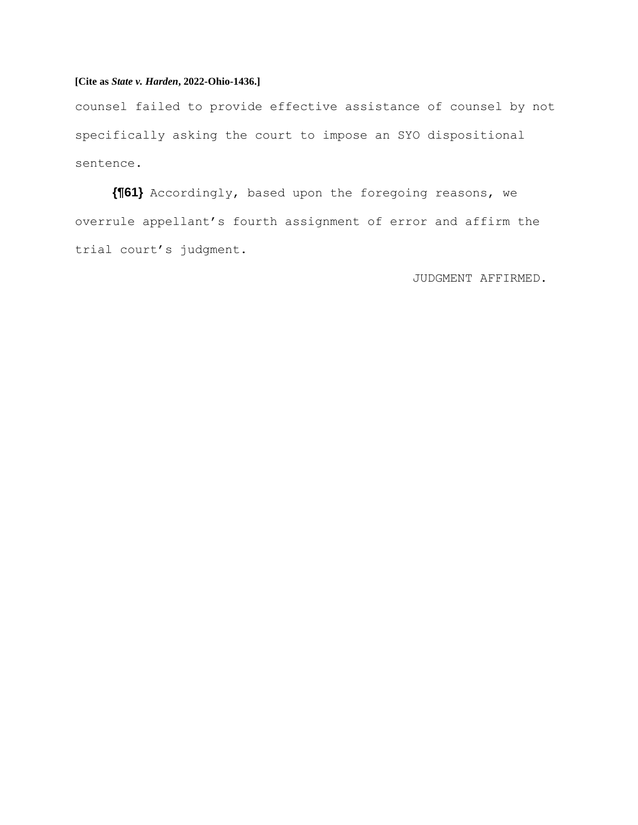counsel failed to provide effective assistance of counsel by not specifically asking the court to impose an SYO dispositional sentence.

**{¶61}** Accordingly, based upon the foregoing reasons, we overrule appellant's fourth assignment of error and affirm the trial court's judgment.

JUDGMENT AFFIRMED.